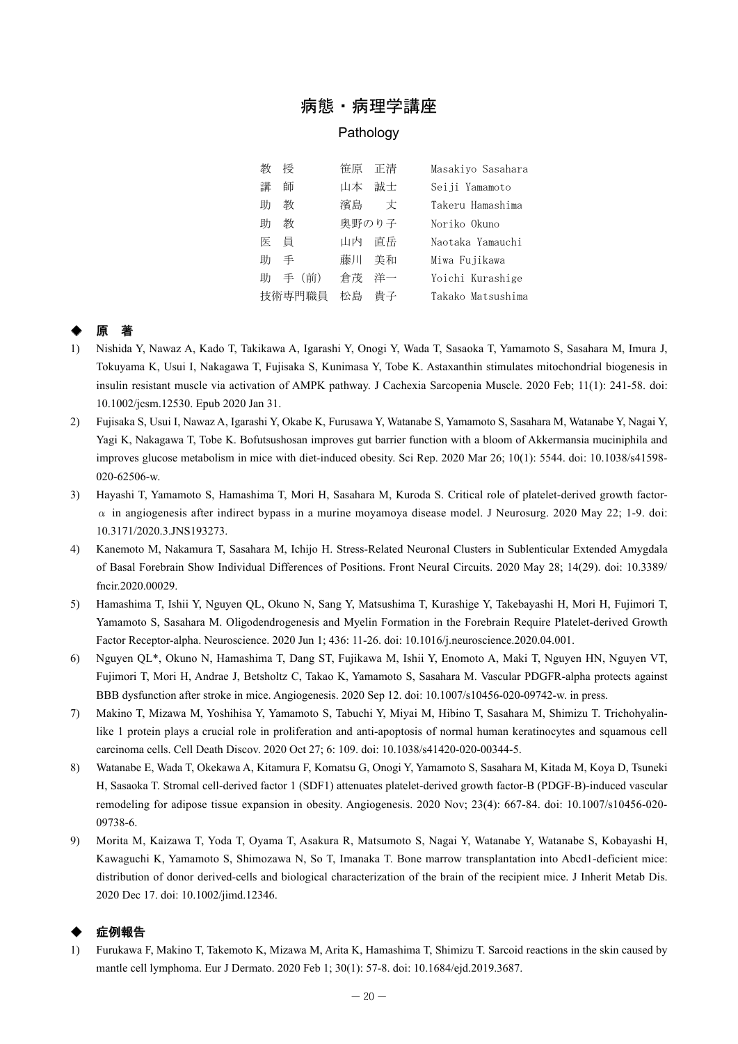## 病態・病理学講座

#### Pathology

| 敾      | 授    | 笹原    | 正清   | Masakiyo Sasahara |
|--------|------|-------|------|-------------------|
| 講      | 師    | 山本    | 誠士   | Seiji Yamamoto    |
| 助      | 教    | 濱島    | 丈    | Takeru Hamashima  |
| 助      | 教    | 奥野のり子 |      | Noriko Okuno      |
| 医目     |      | 山内    | 直岳   | Naotaka Yamauchi  |
| 助      | 手    | 藤川    | - 美和 | Miwa Fujikawa     |
| 助      | 手(前) | 倉茂    | 洋一   | Yoichi Kurashige  |
| 技術専門職員 |      | 松島    | 貴子   | Takako Matsushima |

## ◆ 原 著

- 1) Nishida Y, Nawaz A, Kado T, Takikawa A, Igarashi Y, Onogi Y, Wada T, Sasaoka T, Yamamoto S, Sasahara M, Imura J, Tokuyama K, Usui I, Nakagawa T, Fujisaka S, Kunimasa Y, Tobe K. Astaxanthin stimulates mitochondrial biogenesis in insulin resistant muscle via activation of AMPK pathway. J Cachexia Sarcopenia Muscle. 2020 Feb; 11(1): 241-58. doi: 10.1002/jcsm.12530. Epub 2020 Jan 31.
- 2) Fujisaka S, Usui I, Nawaz A, Igarashi Y, Okabe K, Furusawa Y, Watanabe S, Yamamoto S, Sasahara M, Watanabe Y, Nagai Y, Yagi K, Nakagawa T, Tobe K. Bofutsushosan improves gut barrier function with a bloom of Akkermansia muciniphila and improves glucose metabolism in mice with diet-induced obesity. Sci Rep. 2020 Mar 26; 10(1): 5544. doi: 10.1038/s41598- 020-62506-w.
- 3) Hayashi T, Yamamoto S, Hamashima T, Mori H, Sasahara M, Kuroda S. Critical role of platelet-derived growth factor- $\alpha$  in angiogenesis after indirect bypass in a murine moyamoya disease model. J Neurosurg. 2020 May 22; 1-9. doi: 10.3171/2020.3.JNS193273.
- 4) Kanemoto M, Nakamura T, Sasahara M, Ichijo H. Stress-Related Neuronal Clusters in Sublenticular Extended Amygdala of Basal Forebrain Show Individual Differences of Positions. Front Neural Circuits. 2020 May 28; 14(29). doi: 10.3389/ fncir.2020.00029.
- 5) Hamashima T, Ishii Y, Nguyen QL, Okuno N, Sang Y, Matsushima T, Kurashige Y, Takebayashi H, Mori H, Fujimori T, Yamamoto S, Sasahara M. Oligodendrogenesis and Myelin Formation in the Forebrain Require Platelet-derived Growth Factor Receptor-alpha. Neuroscience. 2020 Jun 1; 436: 11-26. doi: 10.1016/j.neuroscience.2020.04.001.
- 6) Nguyen QL\*, Okuno N, Hamashima T, Dang ST, Fujikawa M, Ishii Y, Enomoto A, Maki T, Nguyen HN, Nguyen VT, Fujimori T, Mori H, Andrae J, Betsholtz C, Takao K, Yamamoto S, Sasahara M. Vascular PDGFR-alpha protects against BBB dysfunction after stroke in mice. Angiogenesis. 2020 Sep 12. doi: 10.1007/s10456-020-09742-w. in press.
- 7) Makino T, Mizawa M, Yoshihisa Y, Yamamoto S, Tabuchi Y, Miyai M, Hibino T, Sasahara M, Shimizu T. Trichohyalinlike 1 protein plays a crucial role in proliferation and anti-apoptosis of normal human keratinocytes and squamous cell carcinoma cells. Cell Death Discov. 2020 Oct 27; 6: 109. doi: 10.1038/s41420-020-00344-5.
- 8) Watanabe E, Wada T, Okekawa A, Kitamura F, Komatsu G, Onogi Y, Yamamoto S, Sasahara M, Kitada M, Koya D, Tsuneki H, Sasaoka T. Stromal cell-derived factor 1 (SDF1) attenuates platelet-derived growth factor-B (PDGF-B)-induced vascular remodeling for adipose tissue expansion in obesity. Angiogenesis. 2020 Nov; 23(4): 667-84. doi: 10.1007/s10456-020- 09738-6.
- 9) Morita M, Kaizawa T, Yoda T, Oyama T, Asakura R, Matsumoto S, Nagai Y, Watanabe Y, Watanabe S, Kobayashi H, Kawaguchi K, Yamamoto S, Shimozawa N, So T, Imanaka T. Bone marrow transplantation into Abcd1-deficient mice: distribution of donor derived-cells and biological characterization of the brain of the recipient mice. J Inherit Metab Dis. 2020 Dec 17. doi: 10.1002/jimd.12346.

### 症例報告

1) Furukawa F, Makino T, Takemoto K, Mizawa M, Arita K, Hamashima T, Shimizu T. Sarcoid reactions in the skin caused by mantle cell lymphoma. Eur J Dermato. 2020 Feb 1; 30(1): 57-8. doi: 10.1684/ejd.2019.3687.